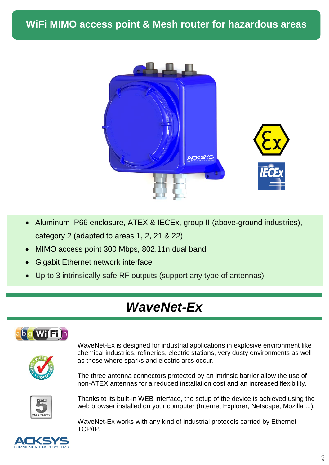

- Aluminum IP66 enclosure, ATEX & IECEx, group II (above-ground industries), category 2 (adapted to areas 1, 2, 21 & 22)
- MIMO access point 300 Mbps, 802.11n dual band
- Gigabit Ethernet network interface
- Up to 3 intrinsically safe RF outputs (support any type of antennas)

## *WaveNet-Ex*



WaveNet-Ex is designed for industrial applications in explosive environment like chemical industries, refineries, electric stations, very dusty environments as well as those where sparks and electric arcs occur.

The three antenna connectors protected by an intrinsic barrier allow the use of non-ATEX antennas for a reduced installation cost and an increased flexibility.



Thanks to its built-in WEB interface, the setup of the device is achieved using the web browser installed on your computer (Internet Explorer, Netscape, Mozilla ...).

WaveNet-Ex works with any kind of industrial protocols carried by Ethernet TCP/IP.